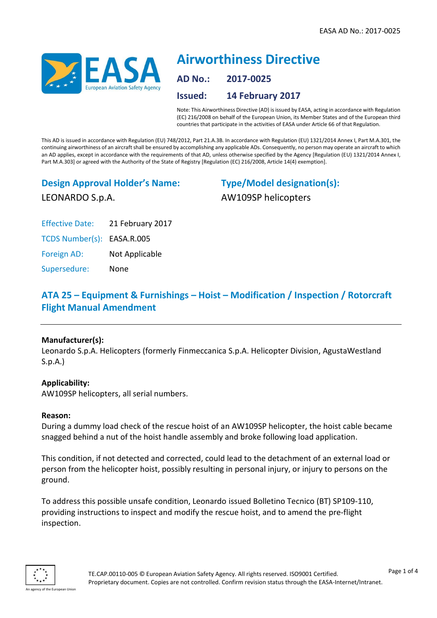

# **Airworthiness Directive AD No.: 2017-0025 Issued: 14 February 2017**

Note: This Airworthiness Directive (AD) is issued by EASA, acting in accordance with Regulation (EC) 216/2008 on behalf of the European Union, its Member States and of the European third countries that participate in the activities of EASA under Article 66 of that Regulation.

This AD is issued in accordance with Regulation (EU) 748/2012, Part 21.A.3B. In accordance with Regulation (EU) 1321/2014 Annex I, Part M.A.301, the continuing airworthiness of an aircraft shall be ensured by accomplishing any applicable ADs. Consequently, no person may operate an aircraft to which an AD applies, except in accordance with the requirements of that AD, unless otherwise specified by the Agency [Regulation (EU) 1321/2014 Annex I, Part M.A.303] or agreed with the Authority of the State of Registry [Regulation (EC) 216/2008, Article 14(4) exemption].

## **Design Approval Holder's Name:** LEONARDO S.p.A.

**Type/Model designation(s):** AW109SP helicopters

Effective Date: 21 February 2017

TCDS Number(s): EASA.R.005

Foreign AD: Not Applicable

Supersedure: None

### **ATA 25 – Equipment & Furnishings – Hoist – Modification / Inspection / Rotorcraft Flight Manual Amendment**

#### **Manufacturer(s):**

Leonardo S.p.A. Helicopters (formerly Finmeccanica S.p.A. Helicopter Division, AgustaWestland S.p.A.)

#### **Applicability:**

AW109SP helicopters, all serial numbers.

#### **Reason:**

During a dummy load check of the rescue hoist of an AW109SP helicopter, the hoist cable became snagged behind a nut of the hoist handle assembly and broke following load application.

This condition, if not detected and corrected, could lead to the detachment of an external load or person from the helicopter hoist, possibly resulting in personal injury, or injury to persons on the ground.

To address this possible unsafe condition, Leonardo issued Bolletino Tecnico (BT) SP109-110, providing instructions to inspect and modify the rescue hoist, and to amend the pre-flight inspection.

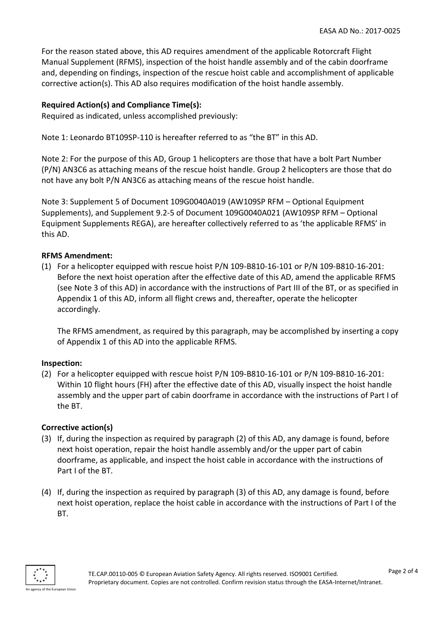For the reason stated above, this AD requires amendment of the applicable Rotorcraft Flight Manual Supplement (RFMS), inspection of the hoist handle assembly and of the cabin doorframe and, depending on findings, inspection of the rescue hoist cable and accomplishment of applicable corrective action(s). This AD also requires modification of the hoist handle assembly.

#### **Required Action(s) and Compliance Time(s):**

Required as indicated, unless accomplished previously:

Note 1: Leonardo BT109SP-110 is hereafter referred to as "the BT" in this AD.

Note 2: For the purpose of this AD, Group 1 helicopters are those that have a bolt Part Number (P/N) AN3C6 as attaching means of the rescue hoist handle. Group 2 helicopters are those that do not have any bolt P/N AN3C6 as attaching means of the rescue hoist handle.

Note 3: Supplement 5 of Document 109G0040A019 (AW109SP RFM – Optional Equipment Supplements), and Supplement 9.2-5 of Document 109G0040A021 (AW109SP RFM – Optional Equipment Supplements REGA), are hereafter collectively referred to as 'the applicable RFMS' in this AD.

#### **RFMS Amendment:**

(1) For a helicopter equipped with rescue hoist P/N 109-B810-16-101 or P/N 109-B810-16-201: Before the next hoist operation after the effective date of this AD, amend the applicable RFMS (see Note 3 of this AD) in accordance with the instructions of Part III of the BT, or as specified in Appendix 1 of this AD, inform all flight crews and, thereafter, operate the helicopter accordingly.

The RFMS amendment, as required by this paragraph, may be accomplished by inserting a copy of Appendix 1 of this AD into the applicable RFMS.

#### **Inspection:**

(2) For a helicopter equipped with rescue hoist P/N 109-B810-16-101 or P/N 109-B810-16-201: Within 10 flight hours (FH) after the effective date of this AD, visually inspect the hoist handle assembly and the upper part of cabin doorframe in accordance with the instructions of Part I of the BT.

#### **Corrective action(s)**

- (3) If, during the inspection as required by paragraph (2) of this AD, any damage is found, before next hoist operation, repair the hoist handle assembly and/or the upper part of cabin doorframe, as applicable, and inspect the hoist cable in accordance with the instructions of Part I of the BT.
- (4) If, during the inspection as required by paragraph (3) of this AD, any damage is found, before next hoist operation, replace the hoist cable in accordance with the instructions of Part I of the BT.

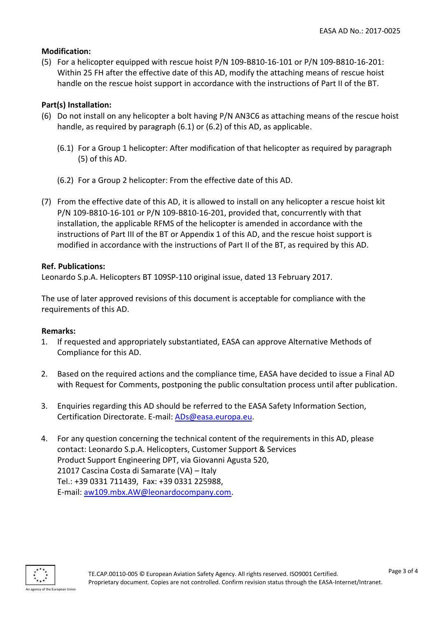#### **Modification:**

(5) For a helicopter equipped with rescue hoist P/N 109-B810-16-101 or P/N 109-B810-16-201: Within 25 FH after the effective date of this AD, modify the attaching means of rescue hoist handle on the rescue hoist support in accordance with the instructions of Part II of the BT.

#### **Part(s) Installation:**

- (6) Do not install on any helicopter a bolt having P/N AN3C6 as attaching means of the rescue hoist handle, as required by paragraph (6.1) or (6.2) of this AD, as applicable.
	- (6.1) For a Group 1 helicopter: After modification of that helicopter as required by paragraph (5) of this AD.
	- (6.2) For a Group 2 helicopter: From the effective date of this AD.
- (7) From the effective date of this AD, it is allowed to install on any helicopter a rescue hoist kit P/N 109-B810-16-101 or P/N 109-B810-16-201, provided that, concurrently with that installation, the applicable RFMS of the helicopter is amended in accordance with the instructions of Part III of the BT or Appendix 1 of this AD, and the rescue hoist support is modified in accordance with the instructions of Part II of the BT, as required by this AD.

#### **Ref. Publications:**

Leonardo S.p.A. Helicopters BT 109SP-110 original issue, dated 13 February 2017.

The use of later approved revisions of this document is acceptable for compliance with the requirements of this AD.

#### **Remarks:**

- 1. If requested and appropriately substantiated, EASA can approve Alternative Methods of Compliance for this AD.
- 2. Based on the required actions and the compliance time, EASA have decided to issue a Final AD with Request for Comments, postponing the public consultation process until after publication.
- 3. Enquiries regarding this AD should be referred to the EASA Safety Information Section, Certification Directorate. E-mail: [ADs@easa.europa.eu.](mailto:ADs@easa.europa.eu)
- 4. For any question concerning the technical content of the requirements in this AD, please contact: Leonardo S.p.A. Helicopters, Customer Support & Services Product Support Engineering DPT, via Giovanni Agusta 520, 21017 Cascina Costa di Samarate (VA) – Italy Tel.: +39 0331 711439, Fax: +39 0331 225988, E-mail: [aw109.mbx.AW@leonardocompany.com.](mailto:aw109.mbx.AW@leonardocompany.com)